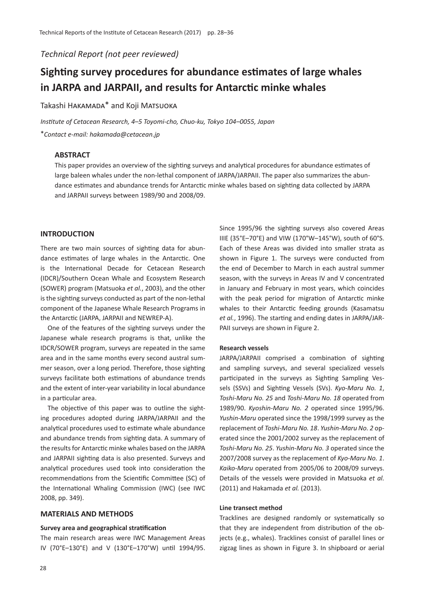*Technical Report (not peer reviewed)*

# **Sighting survey procedures for abundance estimates of large whales in JARPA and JARPAII, and results for Antarctic minke whales**

Takashi HAKAMADA<sup>\*</sup> and Koji MATSUOKA

*Institute of Cetacean Research, 4*–*5 Toyomi-cho, Chuo-ku, Tokyo 104*–*0055, Japan* \**Contact e-mail: hakamada@cetacean.jp*

## **ABSTRACT**

This paper provides an overview of the sighting surveys and analytical procedures for abundance estimates of large baleen whales under the non-lethal component of JARPA/JARPAII. The paper also summarizes the abundance estimates and abundance trends for Antarctic minke whales based on sighting data collected by JARPA and JARPAII surveys between 1989/90 and 2008/09.

#### **INTRODUCTION**

There are two main sources of sighting data for abundance estimates of large whales in the Antarctic. One is the International Decade for Cetacean Research (IDCR)/Southern Ocean Whale and Ecosystem Research (SOWER) program (Matsuoka *et al.*, 2003), and the other is the sighting surveys conducted as part of the non-lethal component of the Japanese Whale Research Programs in the Antarctic (JARPA, JARPAII and NEWREP-A).

One of the features of the sighting surveys under the Japanese whale research programs is that, unlike the IDCR/SOWER program, surveys are repeated in the same area and in the same months every second austral summer season, over a long period. Therefore, those sighting surveys facilitate both estimations of abundance trends and the extent of inter-year variability in local abundance in a particular area.

The objective of this paper was to outline the sighting procedures adopted during JARPA/JARPAII and the analytical procedures used to estimate whale abundance and abundance trends from sighting data. A summary of the results for Antarctic minke whales based on the JARPA and JARPAII sighting data is also presented. Surveys and analytical procedures used took into consideration the recommendations from the Scientific Committee (SC) of the International Whaling Commission (IWC) (see IWC 2008, pp. 349).

# **MATERIALS AND METHODS**

#### **Survey area and geographical stratification**

The main research areas were IWC Management Areas IV (70°E–130°E) and V (130°E–170°W) until 1994/95.

Since 1995/96 the sighting surveys also covered Areas IIIE (35°E–70°E) and VIW (170°W–145°W), south of 60°S. Each of these Areas was divided into smaller strata as shown in Figure 1. The surveys were conducted from the end of December to March in each austral summer season, with the surveys in Areas IV and V concentrated in January and February in most years, which coincides with the peak period for migration of Antarctic minke whales to their Antarctic feeding grounds (Kasamatsu *et al.*, 1996). The starting and ending dates in JARPA/JAR-PAII surveys are shown in Figure 2.

#### **Research vessels**

JARPA/JARPAII comprised a combination of sighting and sampling surveys, and several specialized vessels participated in the surveys as Sighting Sampling Vessels (SSVs) and Sighting Vessels (SVs). *Kyo-Maru No. 1*, *Toshi-Maru No. 25* and *Toshi-Maru No. 18* operated from 1989/90. *Kyoshin-Maru No. 2* operated since 1995/96. *Yushin-Maru* operated since the 1998/1999 survey as the replacement of *Toshi-Maru No. 18*. *Yushin-Maru No. 2* operated since the 2001/2002 survey as the replacement of *Toshi-Maru No. 25*. *Yushin-Maru No. 3* operated since the 2007/2008 survey as the replacement of *Kyo-Maru No. 1*. *Kaiko-Maru* operated from 2005/06 to 2008/09 surveys. Details of the vessels were provided in Matsuoka *et al.* (2011) and Hakamada *et al.* (2013).

#### **Line transect method**

Tracklines are designed randomly or systematically so that they are independent from distribution of the objects (e.g., whales). Tracklines consist of parallel lines or zigzag lines as shown in Figure 3. In shipboard or aerial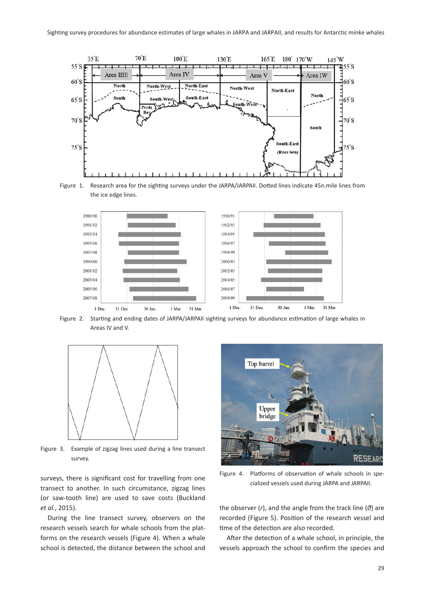

Figure 1. Research area for the sighting surveys under the JARPA/JARPAII. Dotted lines indicate 45n.mile lines from the ice edge lines.



Figure 2. Starting and ending dates of JARPA/JARPAII sighting surveys for abundance estimation of large whales in Areas IV and V.



Figure 3. Example of zigzag lines used during a line transect survey.

surveys, there is significant cost for travelling from one transect to another. In such circumstance, zigzag lines (or saw-tooth line) are used to save costs (Buckland *et al.*, 2015).

During the line transect survey, observers on the research vessels search for whale schools from the platforms on the research vessels (Figure 4). When a whale school is detected, the distance between the school and



Figure 4. Platforms of observation of whale schools in specialized vessels used during JARPA and JARPAII.

the observer (*r*), and the angle from the track line (*θ*) are recorded (Figure 5). Position of the research vessel and time of the detection are also recorded.

After the detection of a whale school, in principle, the vessels approach the school to confirm the species and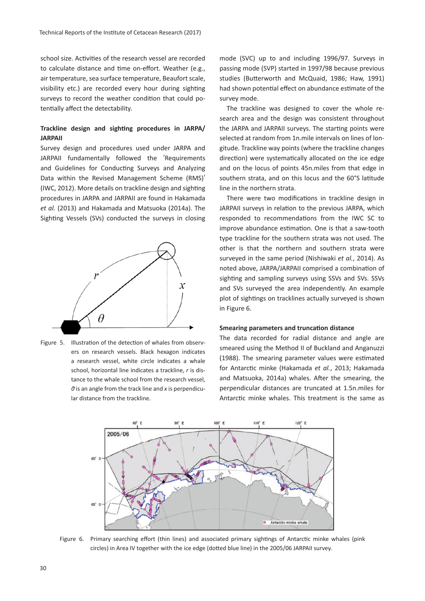school size. Activities of the research vessel are recorded to calculate distance and time on-effort. Weather (e.g., air temperature, sea surface temperature, Beaufort scale, visibility etc.) are recorded every hour during sighting surveys to record the weather condition that could potentially affect the detectability.

# **Trackline design and sighting procedures in JARPA/ JARPAII**

Survey design and procedures used under JARPA and JARPAII fundamentally followed the ʻRequirements and Guidelines for Conducting Surveys and Analyzing Data within the Revised Management Scheme (RMS)' (IWC, 2012). More details on trackline design and sighting procedures in JARPA and JARPAII are found in Hakamada *et al.* (2013) and Hakamada and Matsuoka (2014a). The Sighting Vessels (SVs) conducted the surveys in closing





mode (SVC) up to and including 1996/97. Surveys in passing mode (SVP) started in 1997/98 because previous studies (Butterworth and McQuaid, 1986; Haw, 1991) had shown potential effect on abundance estimate of the survey mode.

The trackline was designed to cover the whole research area and the design was consistent throughout the JARPA and JARPAII surveys. The starting points were selected at random from 1n.mile intervals on lines of longitude. Trackline way points (where the trackline changes direction) were systematically allocated on the ice edge and on the locus of points 45n.miles from that edge in southern strata, and on this locus and the 60°S latitude line in the northern strata.

There were two modifications in trackline design in JARPAII surveys in relation to the previous JARPA, which responded to recommendations from the IWC SC to improve abundance estimation. One is that a saw-tooth type trackline for the southern strata was not used. The other is that the northern and southern strata were surveyed in the same period (Nishiwaki *et al.*, 2014). As noted above, JARPA/JARPAII comprised a combination of sighting and sampling surveys using SSVs and SVs. SSVs and SVs surveyed the area independently. An example plot of sightings on tracklines actually surveyed is shown in Figure 6.

#### **Smearing parameters and truncation distance**

The data recorded for radial distance and angle are smeared using the Method II of Buckland and Anganuzzi (1988). The smearing parameter values were estimated for Antarctic minke (Hakamada *et al.*, 2013; Hakamada and Matsuoka, 2014a) whales. After the smearing, the perpendicular distances are truncated at 1.5n.miles for Antarctic minke whales. This treatment is the same as



Figure 6. Primary searching effort (thin lines) and associated primary sightings of Antarctic minke whales (pink circles) in Area IV together with the ice edge (dotted blue line) in the 2005/06 JARPAII survey.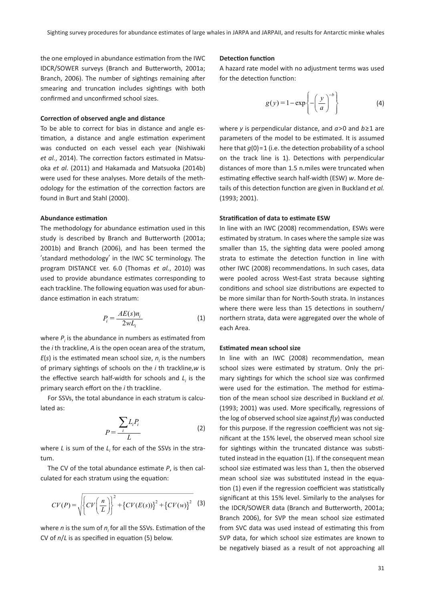# the one employed in abundance estimation from the IWC IDCR/SOWER surveys (Branch and Butterworth, 2001a; Branch, 2006). The number of sightings remaining after smearing and truncation includes sightings with both confirmed and unconfirmed school sizes.

#### **Correction of observed angle and distance**

To be able to correct for bias in distance and angle estimation, a distance and angle estimation experiment was conducted on each vessel each year (Nishiwaki *et al.*, 2014). The correction factors estimated in Matsuoka *et al.* (2011) and Hakamada and Matsuoka (2014b) were used for these analyses. More details of the methodology for the estimation of the correction factors are found in Burt and Stahl (2000).

#### **Abundance estimation**

The methodology for abundance estimation used in this study is described by Branch and Butterworth (2001a; 2001b) and Branch (2006), and has been termed the ʻstandard methodology' in the IWC SC terminology. The program DISTANCE ver. 6.0 (Thomas *et al.*, 2010) was used to provide abundance estimates corresponding to each trackline. The following equation was used for abundance estimation in each stratum:

$$
P_i = \frac{AE(s)n_i}{2wL_i} \tag{1}
$$

where  $P_i$  is the abundance in numbers as estimated from the *i* th trackline, *A* is the open ocean area of the stratum,  $E(s)$  is the estimated mean school size,  $n<sub>i</sub>$  is the numbers of primary sightings of schools on the *i* th trackline,*w* is the effective search half-width for schools and  $L_i$  is the primary search effort on the *i* th trackline.

For SSVs, the total abundance in each stratum is calculated as:

$$
P = \frac{\sum_{i} L_i P_i}{L} \tag{2}
$$

where *L* is sum of the *Li* for each of the SSVs in the stratum.

The CV of the total abundance estimate *P*, is then calculated for each stratum using the equation:

$$
CV(P) = \sqrt{\left\{CV\left(\frac{n}{L}\right)\right\}^{2} + \left\{CV(E(s))\right\}^{2} + \left\{CV(w)\right\}^{2}}
$$
 (3)

where *n* is the sum of *ni* for all the SSVs. Estimation of the CV of *n*/*L* is as specified in equation (5) below.

## **Detection function**

A hazard rate model with no adjustment terms was used for the detection function:

$$
g(y) = 1 - \exp\left\{-\left(\frac{y}{a}\right)^{-b}\right\} \tag{4}
$$

where *y* is perpendicular distance, and *a*>0 and *b*≥1 are parameters of the model to be estimated. It is assumed here that  $q(0)=1$  (i.e. the detection probability of a school on the track line is 1). Detections with perpendicular distances of more than 1.5 n.miles were truncated when estimating effective search half-width (ESW) *w*. More details of this detection function are given in Buckland *et al.* (1993; 2001).

#### **Stratification of data to estimate ESW**

In line with an IWC (2008) recommendation, ESWs were estimated by stratum. In cases where the sample size was smaller than 15, the sighting data were pooled among strata to estimate the detection function in line with other IWC (2008) recommendations. In such cases, data were pooled across West-East strata because sighting conditions and school size distributions are expected to be more similar than for North-South strata. In instances where there were less than 15 detections in southern/ northern strata, data were aggregated over the whole of each Area.

#### **Estimated mean school size**

In line with an IWC (2008) recommendation, mean school sizes were estimated by stratum. Only the primary sightings for which the school size was confirmed were used for the estimation. The method for estimation of the mean school size described in Buckland *et al.* (1993; 2001) was used. More specifically, regressions of the log of observed school size against *f*(*y*) was conducted for this purpose. If the regression coefficient was not significant at the 15% level, the observed mean school size for sightings within the truncated distance was substituted instead in the equation (1). If the consequent mean school size estimated was less than 1, then the observed mean school size was substituted instead in the equation (1) even if the regression coefficient was statistically significant at this 15% level. Similarly to the analyses for the IDCR/SOWER data (Branch and Butterworth, 2001a; Branch 2006), for SVP the mean school size estimated from SVC data was used instead of estimating this from SVP data, for which school size estimates are known to be negatively biased as a result of not approaching all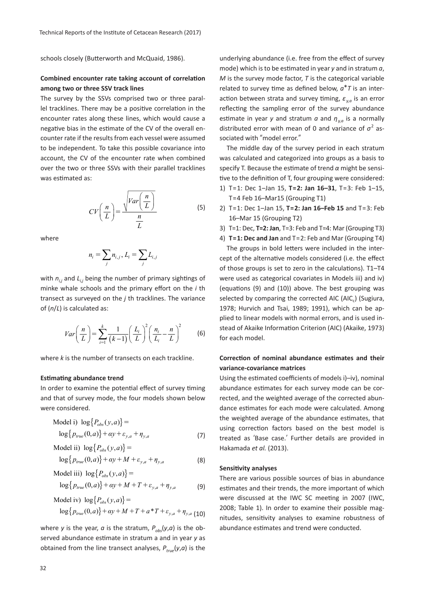schools closely (Butterworth and McQuaid, 1986).

# **Combined encounter rate taking account of correlation among two or three SSV track lines**

The survey by the SSVs comprised two or three parallel tracklines. There may be a positive correlation in the encounter rates along these lines, which would cause a negative bias in the estimate of the CV of the overall encounter rate if the results from each vessel were assumed to be independent. To take this possible covariance into account, the CV of the encounter rate when combined over the two or three SSVs with their parallel tracklines was estimated as:

$$
CV\left(\frac{n}{L}\right) = \frac{\sqrt{Var\left(\frac{n}{L}\right)}}{\frac{n}{L}}\tag{5}
$$

where

$$
n_i = \sum_j n_{i,j}, L_i = \sum_j L_{i,j}
$$

with  $n_{ij}$  and  $L_{ij}$  being the number of primary sightings of minke whale schools and the primary effort on the *i* th transect as surveyed on the *j* th tracklines. The variance of (*n*/*L*) is calculated as:

$$
Var\left(\frac{n}{L}\right) = \sum_{i=1}^{k} \frac{1}{(k-1)} \left(\frac{L_i}{L}\right)^2 \left(\frac{n_i}{L_i} - \frac{n}{L}\right)^2 \tag{6}
$$

where *k* is the number of transects on each trackline.

#### **Estimating abundance trend**

In order to examine the potential effect of survey timing and that of survey mode, the four models shown below were considered.

Model i) 
$$
\log\{P_{obs}(y,a)\} = \log\{p_{true}(0,a)\} + \alpha y + \varepsilon_{y,a} + \eta_{y,a}
$$
 (7)

Model ii) 
$$
\log\{P_{obs}(y,a)\}=
$$
  
\n $\log\{p_{true}(0,a)\} + \alpha y + M + \varepsilon_{y,a} + \eta_{y,a}$  (8)

Model iii) 
$$
\log\{P_{obs}(y,a)\} =
$$

$$
\log\{p_{true}(0,a)\} + \alpha y + M + T + \varepsilon_{y,a} + \eta_{y,a}
$$
(9)

Model iv) 
$$
\log\{P_{obs}(y,a)\}
$$
 =  
\n $\log\{p_{true}(0,a)\} + \alpha y + M + T + a * T + \varepsilon_{y,a} + \eta_{y,a}$  (10)

where *y* is the year, *a* is the stratum,  $P_{abc}(y,a)$  is the observed abundance estimate in stratum a and in year *y* as obtained from the line transect analyses, *Ptrue*(*y*,*a*) is the underlying abundance (i.e. free from the effect of survey mode) which is to be estimated in year *y* and in stratum *a*, *M* is the survey mode factor, *T* is the categorical variable related to survey time as defined below,  $a^*T$  is an interaction between strata and survey timing,  $\varepsilon_{va}$  is an error reflecting the sampling error of the survey abundance estimate in year *y* and stratum *a* and  $\eta_{va}$  is a normally distributed error with mean of 0 and variance of  $\sigma^2$  associated with "model error."

The middle day of the survey period in each stratum was calculated and categorized into groups as a basis to specify T. Because the estimate of trend *α* might be sensitive to the definition of T, four grouping were considered:

- 1) T=1: Dec 1–Jan 15, **T=2: Jan 16–31**, T=3: Feb 1–15, T=4 Feb 16–Mar15 (Grouping T1)
- 2) T=1: Dec 1–Jan 15, **T=2: Jan 16–Feb 15** and T=3: Feb 16–Mar 15 (Grouping T2)
- 3) T=1: Dec, **T=2: Jan**, T=3: Feb and T=4: Mar (Grouping T3)
- 4) **T=1: Dec and Jan** and T=2: Feb and Mar (Grouping T4)

The groups in bold letters were included in the intercept of the alternative models considered (i.e. the effect of those groups is set to zero in the calculations). T1–T4 were used as categorical covariates in Models iii) and iv) (equations (9) and (10)) above. The best grouping was selected by comparing the corrected AIC (AIC.) (Sugiura, 1978; Hurvich and Tsai, 1989; 1991), which can be applied to linear models with normal errors, and is used instead of Akaike Information Criterion (AIC) (Akaike, 1973) for each model.

# **Correction of nominal abundance estimates and their variance-covariance matrices**

Using the estimated coefficients of models i)–iv), nominal abundance estimates for each survey mode can be corrected, and the weighted average of the corrected abundance estimates for each mode were calculated. Among the weighted average of the abundance estimates, that using correction factors based on the best model is treated as ʻBase case.' Further details are provided in Hakamada *et al.* (2013).

## **Sensitivity analyses**

There are various possible sources of bias in abundance estimates and their trends, the more important of which were discussed at the IWC SC meeting in 2007 (IWC, 2008; Table 1). In order to examine their possible magnitudes, sensitivity analyses to examine robustness of abundance estimates and trend were conducted.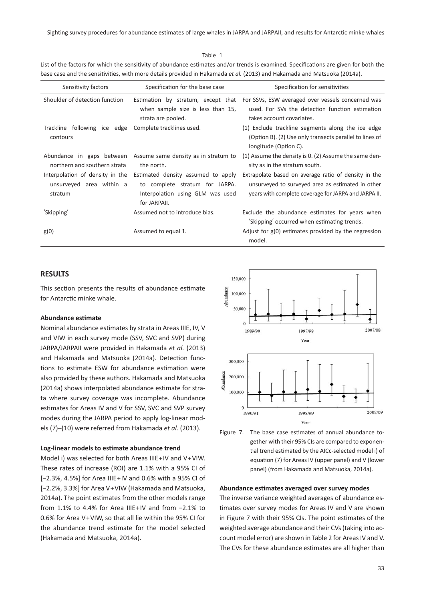Sighting survey procedures for abundance estimates of large whales in JARPA and JARPAII, and results for Antarctic minke whales

| Sensitivity factors | Specification for the hase case                                                                                                 | Snecification for sensitivities                                                                                                       |
|---------------------|---------------------------------------------------------------------------------------------------------------------------------|---------------------------------------------------------------------------------------------------------------------------------------|
|                     | base case and the sensitivities, with more details provided in Hakamada <i>et al.</i> (2013) and Hakamada and Matsuoka (2014a). |                                                                                                                                       |
|                     |                                                                                                                                 | List of the factors for which the sensitivity of abundance estimates and/or trends is examined. Specifications are given for both the |

Table 1

| Sensitivity factors                                                    | Specification for the base case                                                                                          | Specification for sensitivities                                                                                                                                   |  |  |
|------------------------------------------------------------------------|--------------------------------------------------------------------------------------------------------------------------|-------------------------------------------------------------------------------------------------------------------------------------------------------------------|--|--|
| Shoulder of detection function                                         | Estimation by stratum, except that<br>when sample size is less than 15,<br>strata are pooled.                            | For SSVs, ESW averaged over vessels concerned was<br>used. For SVs the detection function estimation<br>takes account covariates.                                 |  |  |
| Trackline following ice edge<br>contours                               | Complete tracklines used.                                                                                                | (1) Exclude trackline segments along the ice edge<br>(Option B). (2) Use only transects parallel to lines of<br>longitude (Option C).                             |  |  |
| Abundance in gaps between<br>northern and southern strata              | Assume same density as in stratum to<br>the north.                                                                       | (1) Assume the density is 0. (2) Assume the same den-<br>sity as in the stratum south.                                                                            |  |  |
| Interpolation of density in the<br>unsurveyed area within a<br>stratum | Estimated density assumed to apply<br>to complete stratum for JARPA.<br>Interpolation using GLM was used<br>for JARPAII. | Extrapolate based on average ratio of density in the<br>unsurveyed to surveyed area as estimated in other<br>years with complete coverage for JARPA and JARPA II. |  |  |
| 'Skipping'                                                             | Assumed not to introduce bias.                                                                                           | Exclude the abundance estimates for years when<br>'Skipping' occurred when estimating trends.                                                                     |  |  |
| g(0)                                                                   | Assumed to equal 1.                                                                                                      | Adjust for $g(0)$ estimates provided by the regression<br>model.                                                                                                  |  |  |

#### **RESULTS**

This section presents the results of abundance estimate for Antarctic minke whale.

#### **Abundance estimate**

Nominal abundance estimates by strata in Areas IIIE, IV, V and VIW in each survey mode (SSV, SVC and SVP) during JARPA/JARPAII were provided in Hakamada *et al.* (2013) and Hakamada and Matsuoka (2014a). Detection functions to estimate ESW for abundance estimation were also provided by these authors. Hakamada and Matsuoka (2014a) shows interpolated abundance estimate for strata where survey coverage was incomplete. Abundance estimates for Areas IV and V for SSV, SVC and SVP survey modes during the JARPA period to apply log-linear models (7)–(10) were referred from Hakamada *et al.* (2013).

#### **Log-linear models to estimate abundance trend**

Model i) was selected for both Areas IIIE+IV and V+VIW. These rates of increase (ROI) are 1.1% with a 95% CI of [−2.3%, 4.5%] for Area IIIE+IV and 0.6% with a 95% CI of [−2.2%, 3.3%] for Area V+VIW (Hakamada and Matsuoka, 2014a). The point estimates from the other models range from 1.1% to 4.4% for Area IIIE+IV and from −2.1% to 0.6% for Area V+VIW, so that all lie within the 95% CI for the abundance trend estimate for the model selected (Hakamada and Matsuoka, 2014a).





#### **Abundance estimates averaged over survey modes**

The inverse variance weighted averages of abundance estimates over survey modes for Areas IV and V are shown in Figure 7 with their 95% CIs. The point estimates of the weighted average abundance and their CVs (taking into account model error) are shown in Table 2 for Areas IV and V. The CVs for these abundance estimates are all higher than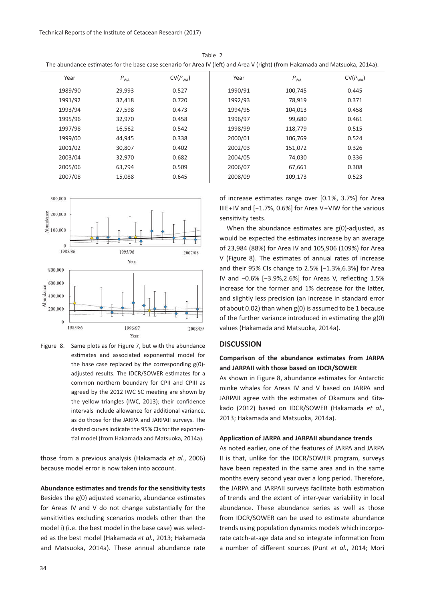| The abundance estimates for the base case scenario for Area IV (left) and Area V (right) (from Hakamada and Matsuoka, 2014a). |          |                      |         |          |                      |  |  |
|-------------------------------------------------------------------------------------------------------------------------------|----------|----------------------|---------|----------|----------------------|--|--|
| Year                                                                                                                          | $P_{WA}$ | CV(P <sub>WA</sub> ) | Year    | $P_{WA}$ | CV(P <sub>WA</sub> ) |  |  |
| 1989/90                                                                                                                       | 29,993   | 0.527                | 1990/91 | 100,745  | 0.445                |  |  |
| 1991/92                                                                                                                       | 32,418   | 0.720                | 1992/93 | 78,919   | 0.371                |  |  |
| 1993/94                                                                                                                       | 27,598   | 0.473                | 1994/95 | 104,013  | 0.458                |  |  |
| 1995/96                                                                                                                       | 32,970   | 0.458                | 1996/97 | 99,680   | 0.461                |  |  |
| 1997/98                                                                                                                       | 16,562   | 0.542                | 1998/99 | 118,779  | 0.515                |  |  |
| 1999/00                                                                                                                       | 44,945   | 0.338                | 2000/01 | 106,769  | 0.524                |  |  |
| 2001/02                                                                                                                       | 30,807   | 0.402                | 2002/03 | 151,072  | 0.326                |  |  |
| 2003/04                                                                                                                       | 32,970   | 0.682                | 2004/05 | 74,030   | 0.336                |  |  |
| 2005/06                                                                                                                       | 63,794   | 0.509                | 2006/07 | 67,661   | 0.308                |  |  |
| 2007/08                                                                                                                       | 15,088   | 0.645                | 2008/09 | 109,173  | 0.523                |  |  |

Table 2



Figure 8. Same plots as for Figure 7, but with the abundance estimates and associated exponential model for the base case replaced by the corresponding g(0) adjusted results. The IDCR/SOWER estimates for a common northern boundary for CPII and CPIII as agreed by the 2012 IWC SC meeting are shown by the yellow triangles (IWC, 2013); their confidence intervals include allowance for additional variance, as do those for the JARPA and JARPAII surveys. The dashed curves indicate the 95% CIs for the exponential model (from Hakamada and Matsuoka, 2014a).

those from a previous analysis (Hakamada *et al.*, 2006) because model error is now taken into account.

# **Abundance estimates and trends for the sensitivity tests** Besides the g(0) adjusted scenario, abundance estimates

for Areas IV and V do not change substantially for the sensitivities excluding scenarios models other than the model i) (i.e. the best model in the base case) was selected as the best model (Hakamada *et al.*, 2013; Hakamada and Matsuoka, 2014a). These annual abundance rate

of increase estimates range over [0.1%, 3.7%] for Area IIIE+IV and [−1.7%, 0.6%] for Area V+VIW for the various sensitivity tests.

When the abundance estimates are  $g(0)$ -adjusted, as would be expected the estimates increase by an average of 23,984 (88%) for Area IV and 105,906 (109%) for Area V (Figure 8). The estimates of annual rates of increase and their 95% CIs change to 2.5% [−1.3%,6.3%] for Area IV and −0.6% [−3.9%,2.6%] for Areas V, reflecting 1.5% increase for the former and 1% decrease for the latter, and slightly less precision (an increase in standard error of about 0.02) than when g(0) is assumed to be 1 because of the further variance introduced in estimating the g(0) values (Hakamada and Matsuoka, 2014a).

#### **DISCUSSION**

# **Comparison of the abundance estimates from JARPA and JARPAII with those based on IDCR/SOWER**

As shown in Figure 8, abundance estimates for Antarctic minke whales for Areas IV and V based on JARPA and JARPAII agree with the estimates of Okamura and Kitakado (2012) based on IDCR/SOWER (Hakamada *et al.*, 2013; Hakamada and Matsuoka, 2014a).

#### **Application of JARPA and JARPAII abundance trends**

As noted earlier, one of the features of JARPA and JARPA II is that, unlike for the IDCR/SOWER program, surveys have been repeated in the same area and in the same months every second year over a long period. Therefore, the JARPA and JARPAII surveys facilitate both estimation of trends and the extent of inter-year variability in local abundance. These abundance series as well as those from IDCR/SOWER can be used to estimate abundance trends using population dynamics models which incorporate catch-at-age data and so integrate information from a number of different sources (Punt *et al.*, 2014; Mori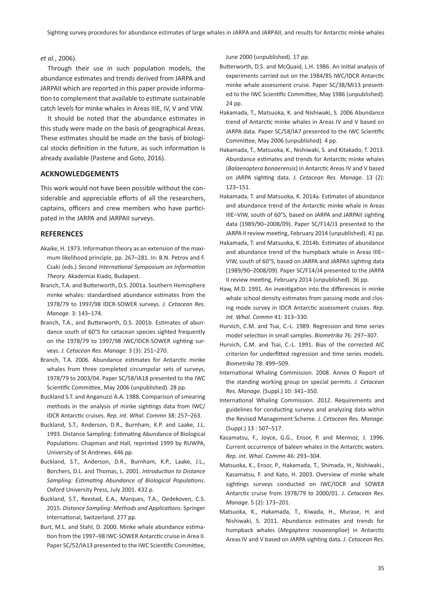#### *et al.*, 2006).

Through their use in such population models, the abundance estimates and trends derived from JARPA and JARPAII which are reported in this paper provide information to complement that available to estimate sustainable catch levels for minke whales in Areas IIIE, IV, V and VIW.

It should be noted that the abundance estimates in this study were made on the basis of geographical Areas. These estimates should be made on the basis of biological stocks definition in the future, as such information is already available (Pastene and Goto, 2016).

#### **ACKNOWLEDGEMENTS**

This work would not have been possible without the considerable and appreciable efforts of all the researchers, captains, officers and crew members who have participated in the JARPA and JARPAII surveys.

#### **REFERENCES**

- Akaike, H. 1973. Information theory as an extension of the maximum likelihood principle. pp. 267–281. In: B.N. Petrov and F. Csaki (eds.) *Second International Symposium on Information Theory*. Akademiai Kiado, Budapest.
- Branch, T.A. and Butterworth, D.S. 2001a. Southern Hemisphere minke whales: standardised abundance estimates from the 1978/79 to 1997/98 IDCR-SOWER surveys. *J. Cetacean Res. Manage.* 3: 143–174.
- Branch, T.A., and Butterworth, D.S. 2001b. Estimates of abundance south of 60°S for cetacean species sighted frequently on the 1978/79 to 1997/98 IWC/IDCR-SOWER sighting surveys. *J. Cetacean Res. Manage.* 3 (3): 251–270.
- Branch, T.A. 2006. Abundance estimates for Antarctic minke whales from three completed circumpolar sets of surveys, 1978/79 to 2003/04. Paper SC/58/IA18 presented to the IWC Scientific Committee, May 2006 (unpublished). 28 pp.
- Buckland S.T. and Anganuzzi A.A. 1988. Comparison of smearing methods in the analysis of minke sightings data from IWC/ IDCR Antarctic cruises. *Rep. int. Whal. Commn* 38: 257–263.
- Buckland, S.T., Anderson, D.R., Burnham, K.P. and Laake, J.L. 1993. Distance Sampling: Estimating Abundance of Biological Populations. Chapman and Hall, reprinted 1999 by RUWPA, University of St Andrews. 446 pp.
- Buckland, S.T., Anderson, D.R., Burnham, K.P., Laake, J.L., Borchers, D.L. and Thomas, L. 2001. *Introduction to Distance Sampling: Estimating Abundance of Biological Populations.* Oxford University Press, July 2001. 432 p.
- Buckland, S.T., Rexstad, E.A., Marques, T.A., Oedekoven, C.S. 2015. *Distance Sampling: Methods and Applications*. Springer International, Switzerland. 277 pp.
- Burt, M.L. and Stahl, D. 2000. Minke whale abundance estimation from the 1997–98 IWC-SOWER Antarctic cruise in Area II. Paper SC/52/IA13 presented to the IWC Scientific Committee,

June 2000 (unpublished). 17 pp.

- Butterworth, D.S. and McQuaid, L.H. 1986. An initial analysis of experiments carried out on the 1984/85 IWC/IDCR Antarctic minke whale assessment cruise. Paper SC/38/Mi13 presented to the IWC Scientific Committee, May 1986 (unpublished). 24 pp.
- Hakamada, T., Matsuoka, K. and Nishiwaki, S. 2006 Abundance trend of Antarctic minke whales in Areas IV and V based on JARPA data. Paper SC/58/IA7 presented to the IWC Scientific Committee, May 2006 (unpublished). 4 pp.
- Hakamada, T., Matsuoka, K., Nishiwaki, S. and Kitakado, T. 2013. Abundance estimates and trends for Antarctic minke whales (*Balaenoptera bonaerensis*) in Antarctic Areas IV and V based on JARPA sighting data. *J. Cetacean Res. Manage.* 13 (2): 123–151.
- Hakamada, T. and Matsuoka, K. 2014a. Estimates of abundance and abundance trend of the Antarctic minke whale in Areas IIIE–VIW, south of 60°S, based on JARPA and JARPAII sighting data (1989/90–2008/09). Paper SC/F14/J3 presented to the JARPA II review meeting, February 2014 (unpublished). 41 pp.
- Hakamada, T. and Matsuoka, K. 2014b. Estimates of abundance and abundance trend of the humpback whale in Areas IIIE– VIW, south of 60°S, based on JARPA and JARPAII sighting data (1989/90–2008/09). Paper SC/F14/J4 presented to the JARPA II review meeting, February 2014 (unpublished). 36 pp.
- Haw, M.D. 1991. An investigation into the differences in minke whale school density estimates from passing mode and closing mode survey in IDCR Antarctic assessment cruises. *Rep. int. Whal. Commn* 41: 313–330.
- Hurvich, C.M. and Tsai, C.-L. 1989. Regression and time series model selection in small samples. *Biometrika* 76: 297–307.
- Hurvich, C.M. and Tsai, C.-L. 1991. Bias of the corrected AIC criterion for underfitted regression and time series models. *Biometrika* 78: 499–509.
- International Whaling Commission. 2008. Annex O Report of the standing working group on special permits. *J. Cetacean Res. Manage.* (Suppl.) 10: 341–350.
- International Whaling Commission. 2012. Requirements and guidelines for conducting surveys and analyzing data within the Revised Management Scheme. *J. Cetacean Res. Manage.* (Suppl.) 13 : 507–517.
- Kasamatsu, F., Joyce, G.G., Ensor, P. and Mermoz, J. 1996. Current occurrence of baleen whales in the Antarctic waters. *Rep. int. Whal. Commn* 46: 293–304.
- Matsuoka, K., Ensor, P., Hakamada, T., Shimada, H., Nishiwaki., Kasamatsu, F. and Kato, H. 2003. Overview of minke whale sightings surveys conducted on IWC/IDCR and SOWER Antarctic cruise from 1978/79 to 2000/01. *J. Cetacean Res. Manage.* 5 (2): 173–201.
- Matsuoka, K., Hakamada, T., Kiwada, H., Murase, H. and Nishiwaki, S. 2011. Abundance estimates and trends for humpback whales (*Megaptera novaeangliae*) in Antarctic Areas IV and V based on JARPA sighting data. *J. Cetacean Res.*